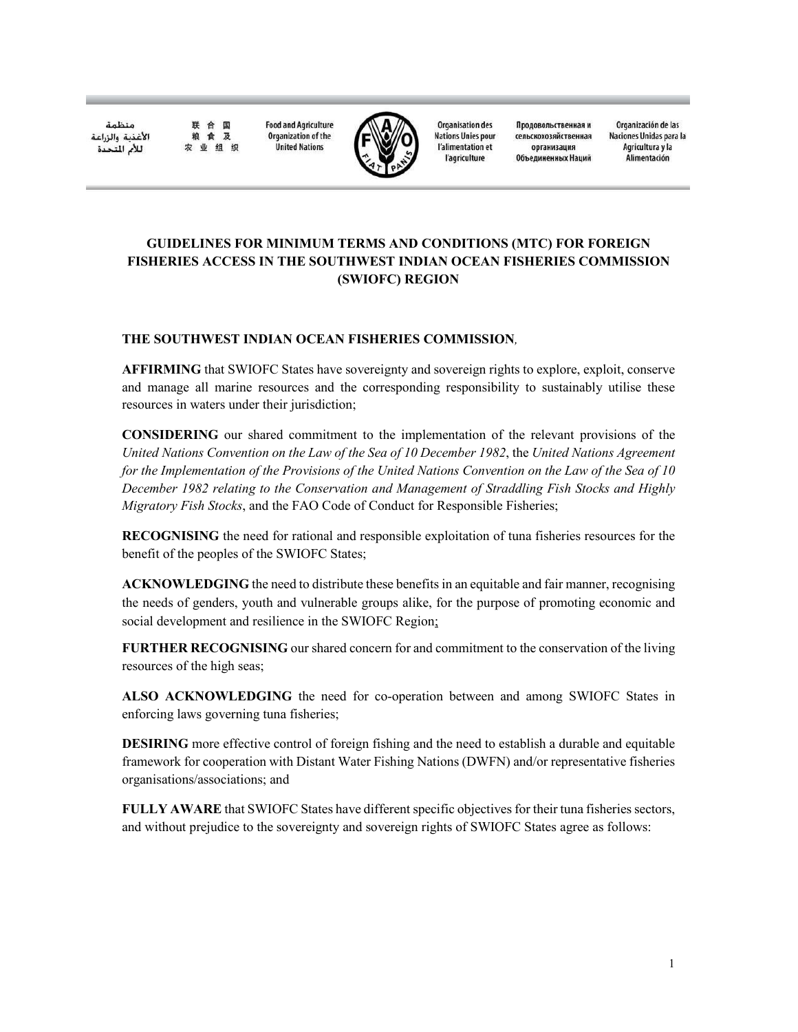منظمة الأغذية والزراعة للأم المتحدة

合 国 **Food and Agriculture** Organization of the 食及 业组织

联

粮



**Organisation des Nations Unies pour** l'alimentation et l'agriculture

Продовольственная и сельскохозяйственная организация Объединенных Наций

Organización de las Naciones Unidas para la Agricultura y la Alimentación

# **GUIDELINES FOR MINIMUM TERMS AND CONDITIONS (MTC) FOR FOREIGN** FISHERIES ACCESS IN THE SOUTHWEST INDIAN OCEAN FISHERIES COMMISSION (SWIOFC) REGION

### THE SOUTHWEST INDIAN OCEAN FISHERIES COMMISSION.

**United Nations** 

**AFFIRMING** that SWIOFC States have sovereignty and sovereign rights to explore, exploit, conserve and manage all marine resources and the corresponding responsibility to sustainably utilise these resources in waters under their jurisdiction;

**CONSIDERING** our shared commitment to the implementation of the relevant provisions of the United Nations Convention on the Law of the Sea of 10 December 1982, the United Nations Agreement for the Implementation of the Provisions of the United Nations Convention on the Law of the Sea of 10 December 1982 relating to the Conservation and Management of Straddling Fish Stocks and Highly *Migratory Fish Stocks*, and the FAO Code of Conduct for Responsible Fisheries;

**RECOGNISING** the need for rational and responsible exploitation of tuna fisheries resources for the benefit of the peoples of the SWIOFC States;

**ACKNOWLEDGING** the need to distribute these benefits in an equitable and fair manner, recognising the needs of genders, youth and vulnerable groups alike, for the purpose of promoting economic and social development and resilience in the SWIOFC Region;

**FURTHER RECOGNISING** our shared concern for and commitment to the conservation of the living resources of the high seas;

ALSO ACKNOWLEDGING the need for co-operation between and among SWIOFC States in enforcing laws governing tuna fisheries;

**DESIRING** more effective control of foreign fishing and the need to establish a durable and equitable framework for cooperation with Distant Water Fishing Nations (DWFN) and/or representative fisheries organisations/associations; and

FULLY AWARE that SWIOFC States have different specific objectives for their tuna fisheries sectors, and without prejudice to the sovereignty and sovereign rights of SWIOFC States agree as follows: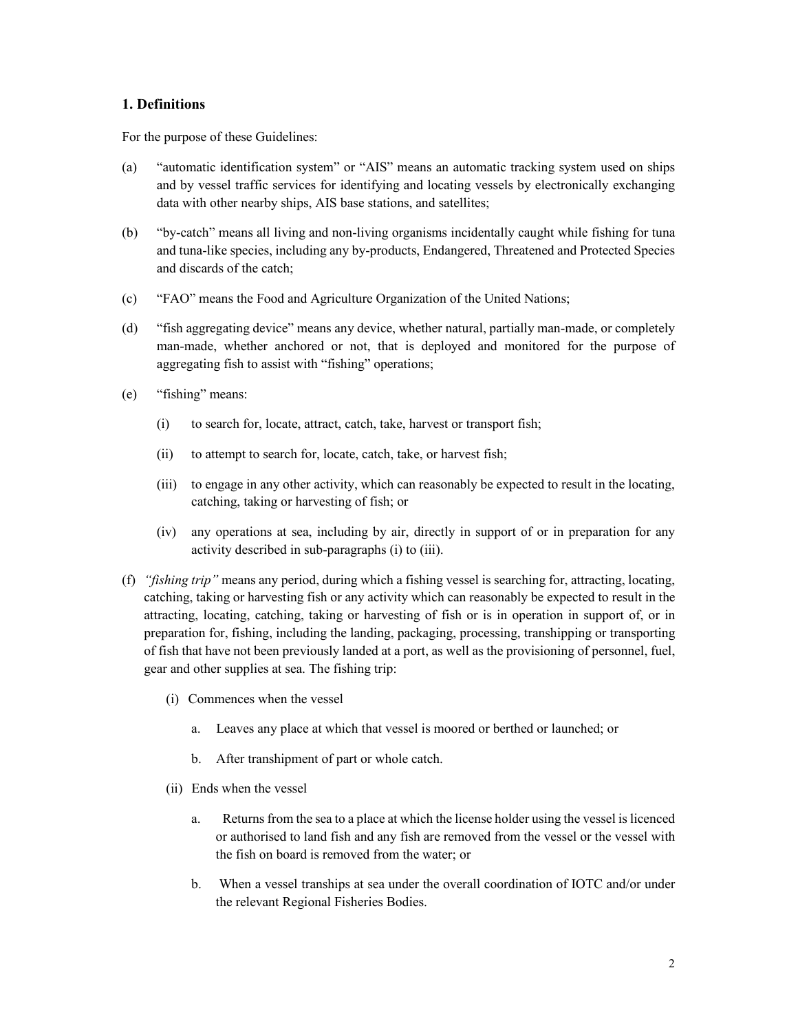### 1. Definitions

For the purpose of these Guidelines:

- "automatic identification system" or "AIS" means an automatic tracking system used on ships (a) and by vessel traffic services for identifying and locating vessels by electronically exchanging data with other nearby ships, AIS base stations, and satellites;
- (b) "by-catch" means all living and non-living organisms incidentally caught while fishing for tuna and tuna-like species, including any by-products, Endangered, Threatened and Protected Species and discards of the catch:
- "FAO" means the Food and Agriculture Organization of the United Nations;  $(c)$
- $(d)$ "fish aggregating device" means any device, whether natural, partially man-made, or completely man-made, whether anchored or not, that is deployed and monitored for the purpose of aggregating fish to assist with "fishing" operations;
- "fishing" means:  $(e)$ 
	- to search for, locate, attract, catch, take, harvest or transport fish;  $(i)$
	- $(ii)$ to attempt to search for, locate, catch, take, or harvest fish;
	- (iii) to engage in any other activity, which can reasonably be expected to result in the locating, catching, taking or harvesting of fish; or
	- (iv) any operations at sea, including by air, directly in support of or in preparation for any activity described in sub-paragraphs (i) to (iii).
- (f) "fishing trip" means any period, during which a fishing vessel is searching for, attracting, locating, catching, taking or harvesting fish or any activity which can reasonably be expected to result in the attracting, locating, catching, taking or harvesting of fish or is in operation in support of, or in preparation for, fishing, including the landing, packaging, processing, transhipping or transporting of fish that have not been previously landed at a port, as well as the provisioning of personnel, fuel, gear and other supplies at sea. The fishing trip:
	- (i) Commences when the vessel
		- $a.$ Leaves any place at which that vessel is moored or berthed or launched; or
		- b. After transhipment of part or whole catch.
	- (ii) Ends when the vessel
		- $a_{\cdot}$ Returns from the sea to a place at which the license holder using the vessel is licenced or authorised to land fish and any fish are removed from the vessel or the vessel with the fish on board is removed from the water; or
		- b. When a vessel tranships at sea under the overall coordination of IOTC and/or under the relevant Regional Fisheries Bodies.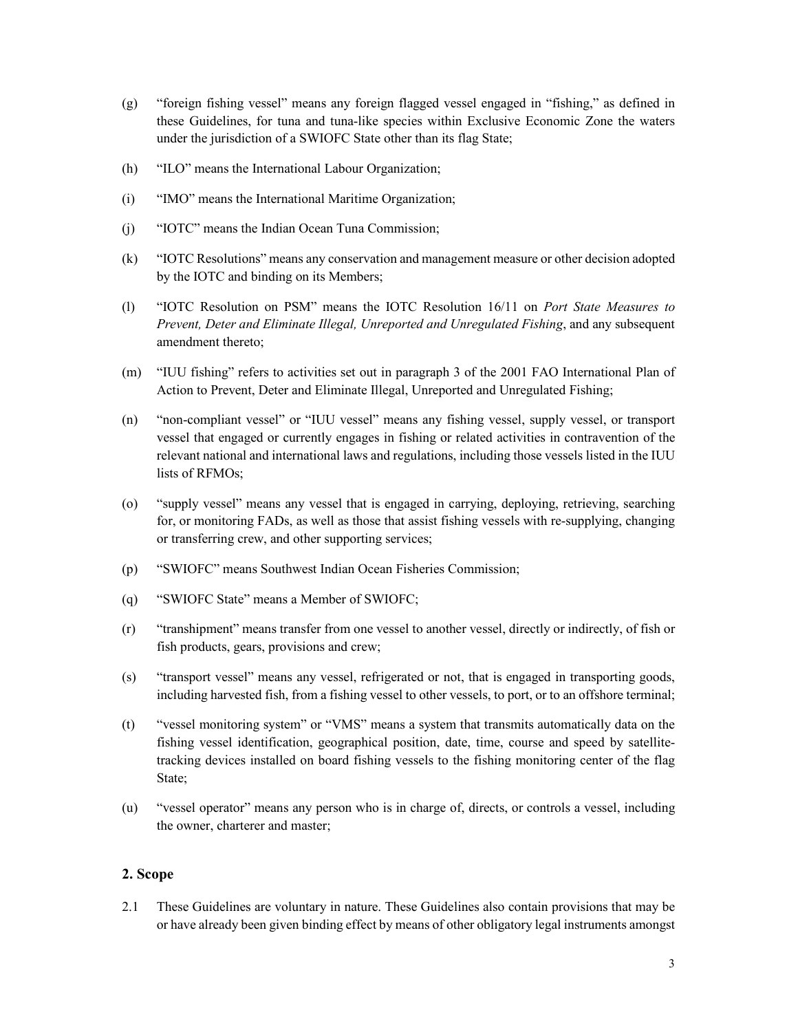- "foreign fishing vessel" means any foreign flagged vessel engaged in "fishing," as defined in  $(g)$ these Guidelines, for tuna and tuna-like species within Exclusive Economic Zone the waters under the jurisdiction of a SWIOFC State other than its flag State;
- $(h)$ "ILO" means the International Labour Organization;
- $(i)$ "IMO" means the International Maritime Organization;
- "IOTC" means the Indian Ocean Tuna Commission;  $(j)$
- $(k)$ "IOTC Resolutions" means any conservation and management measure or other decision adopted by the IOTC and binding on its Members;
- "IOTC Resolution on PSM" means the IOTC Resolution 16/11 on Port State Measures to  $(1)$ Prevent, Deter and Eliminate Illegal, Unreported and Unregulated Fishing, and any subsequent amendment thereto;
- "IUU fishing" refers to activities set out in paragraph 3 of the 2001 FAO International Plan of  $(m)$ Action to Prevent, Deter and Eliminate Illegal, Unreported and Unregulated Fishing;
- $(n)$ "non-compliant vessel" or "IUU vessel" means any fishing vessel, supply vessel, or transport vessel that engaged or currently engages in fishing or related activities in contravention of the relevant national and international laws and regulations, including those vessels listed in the IUU lists of RFMOs;
- "supply vessel" means any vessel that is engaged in carrying, deploying, retrieving, searching  $(0)$ for, or monitoring FADs, as well as those that assist fishing vessels with re-supplying, changing or transferring crew, and other supporting services;
- "SWIOFC" means Southwest Indian Ocean Fisheries Commission:  $(p)$
- "SWIOFC State" means a Member of SWIOFC;  $(q)$
- $(r)$ "transhipment" means transfer from one vessel to another vessel, directly or indirectly, of fish or fish products, gears, provisions and crew;
- "transport vessel" means any vessel, refrigerated or not, that is engaged in transporting goods,  $(s)$ including harvested fish, from a fishing vessel to other vessels, to port, or to an offshore terminal;
- "vessel monitoring system" or "VMS" means a system that transmits automatically data on the  $(t)$ fishing vessel identification, geographical position, date, time, course and speed by satellitetracking devices installed on board fishing vessels to the fishing monitoring center of the flag State;
- $(u)$ "vessel operator" means any person who is in charge of, directs, or controls a vessel, including the owner, charterer and master;

### 2. Scope

These Guidelines are voluntary in nature. These Guidelines also contain provisions that may be 2.1 or have already been given binding effect by means of other obligatory legal instruments amongst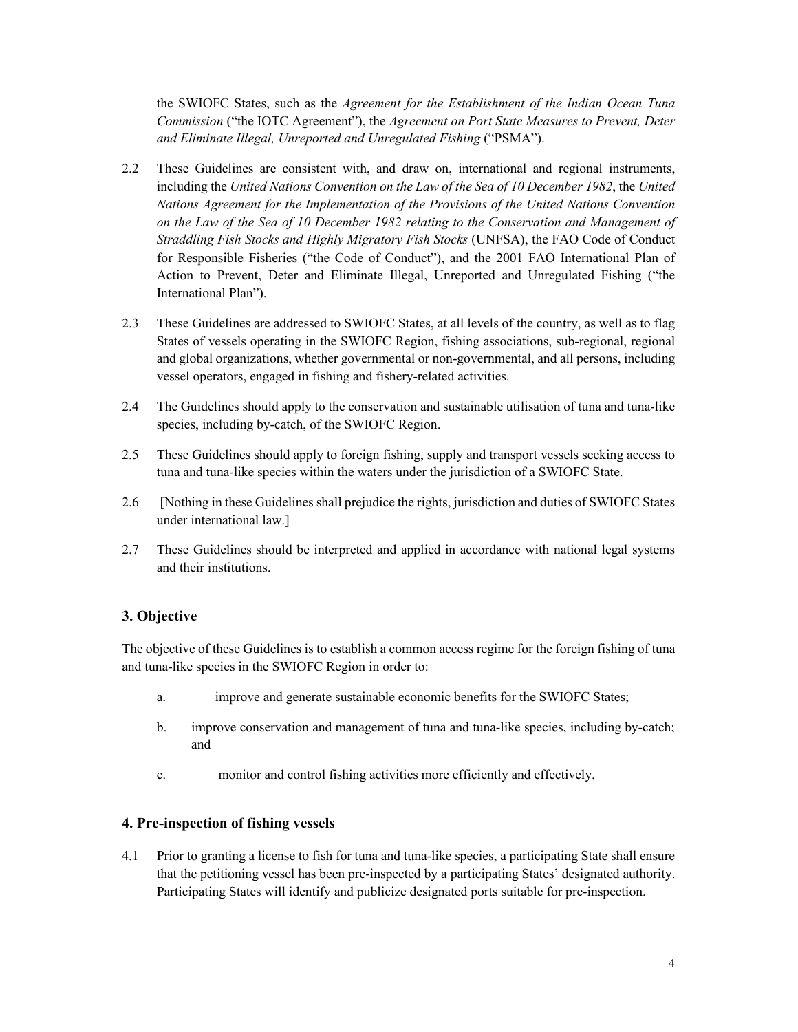the SWIOFC States, such as the Agreement for the Establishment of the Indian Ocean Tuna Commission ("the IOTC Agreement"), the Agreement on Port State Measures to Prevent, Deter and Eliminate Illegal, Unreported and Unregulated Fishing ("PSMA").

- These Guidelines are consistent with, and draw on, international and regional instruments,  $2.2^{\circ}$ including the United Nations Convention on the Law of the Sea of 10 December 1982, the United Nations Agreement for the Implementation of the Provisions of the United Nations Convention on the Law of the Sea of 10 December 1982 relating to the Conservation and Management of Straddling Fish Stocks and Highly Migratory Fish Stocks (UNFSA), the FAO Code of Conduct for Responsible Fisheries ("the Code of Conduct"), and the 2001 FAO International Plan of Action to Prevent, Deter and Eliminate Illegal, Unreported and Unregulated Fishing ("the International Plan").
- $2.3$ These Guidelines are addressed to SWIOFC States, at all levels of the country, as well as to flag States of vessels operating in the SWIOFC Region, fishing associations, sub-regional, regional and global organizations, whether governmental or non-governmental, and all persons, including vessel operators, engaged in fishing and fishery-related activities.
- 2.4 The Guidelines should apply to the conservation and sustainable utilisation of tuna and tuna-like species, including by-catch, of the SWIOFC Region.
- $2.5$ These Guidelines should apply to foreign fishing, supply and transport vessels seeking access to tuna and tuna-like species within the waters under the jurisdiction of a SWIOFC State.
- $2.6$ [Nothing in these Guidelines shall prejudice the rights, jurisdiction and duties of SWIOFC States under international law.]
- $2.7$ These Guidelines should be interpreted and applied in accordance with national legal systems and their institutions.

### 3. Objective

The objective of these Guidelines is to establish a common access regime for the foreign fishing of tuna and tuna-like species in the SWIOFC Region in order to:

- improve and generate sustainable economic benefits for the SWIOFC States; a.
- improve conservation and management of tuna and tuna-like species, including by-catch;  $\mathbf{b}$ . and
- monitor and control fishing activities more efficiently and effectively.  $\mathbf{c}$ .

#### 4. Pre-inspection of fishing vessels

 $4.1$ Prior to granting a license to fish for tuna and tuna-like species, a participating State shall ensure that the petitioning vessel has been pre-inspected by a participating States' designated authority. Participating States will identify and publicize designated ports suitable for pre-inspection.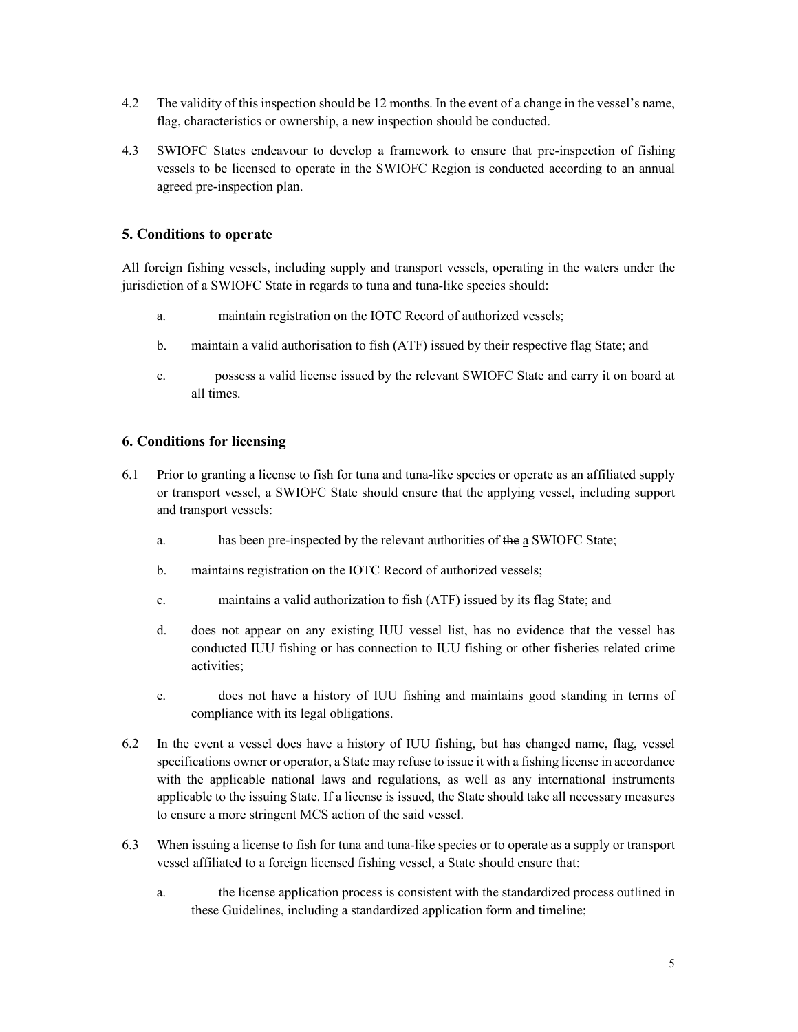- $4.2$ The validity of this inspection should be 12 months. In the event of a change in the vessel's name, flag, characteristics or ownership, a new inspection should be conducted.
- 4.3 SWIOFC States endeavour to develop a framework to ensure that pre-inspection of fishing vessels to be licensed to operate in the SWIOFC Region is conducted according to an annual agreed pre-inspection plan.

# 5. Conditions to operate

All foreign fishing vessels, including supply and transport vessels, operating in the waters under the jurisdiction of a SWIOFC State in regards to tuna and tuna-like species should:

- maintain registration on the IOTC Record of authorized vessels;  $\mathbf{a}$
- $\mathbf{b}$ . maintain a valid authorisation to fish (ATF) issued by their respective flag State; and
- $\mathbf{c}$ possess a valid license issued by the relevant SWIOFC State and carry it on board at all times.

# **6. Conditions for licensing**

- Prior to granting a license to fish for tuna and tuna-like species or operate as an affiliated supply 6.1 or transport vessel, a SWIOFC State should ensure that the applying vessel, including support and transport vessels:
	- has been pre-inspected by the relevant authorities of the a SWIOFC State; a.
	- $\mathbf{b}$ . maintains registration on the IOTC Record of authorized vessels;
	- maintains a valid authorization to fish (ATF) issued by its flag State; and  $\mathbf{c}$ .
	- $d_{-}$ does not appear on any existing IUU vessel list, has no evidence that the vessel has conducted IUU fishing or has connection to IUU fishing or other fisheries related crime activities;
	- does not have a history of IUU fishing and maintains good standing in terms of e. compliance with its legal obligations.
- 6.2 In the event a vessel does have a history of IUU fishing, but has changed name, flag, vessel specifications owner or operator, a State may refuse to issue it with a fishing license in accordance with the applicable national laws and regulations, as well as any international instruments applicable to the issuing State. If a license is issued, the State should take all necessary measures to ensure a more stringent MCS action of the said vessel.
- 6.3 When issuing a license to fish for tuna and tuna-like species or to operate as a supply or transport vessel affiliated to a foreign licensed fishing vessel, a State should ensure that:
	- the license application process is consistent with the standardized process outlined in a. these Guidelines, including a standardized application form and timeline;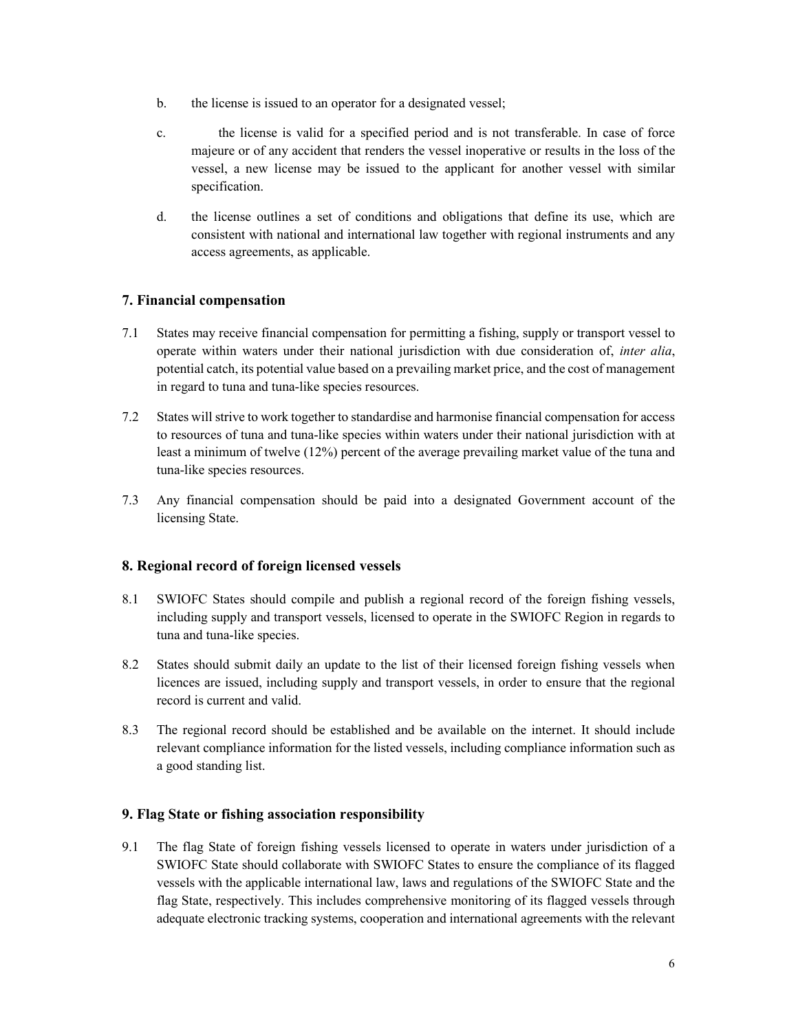- $b_{\cdot}$ the license is issued to an operator for a designated vessel;
- the license is valid for a specified period and is not transferable. In case of force  $c_{-}$ majeure or of any accident that renders the vessel inoperative or results in the loss of the vessel, a new license may be issued to the applicant for another vessel with similar specification.
- the license outlines a set of conditions and obligations that define its use, which are d. consistent with national and international law together with regional instruments and any access agreements, as applicable.

# 7. Financial compensation

- States may receive financial compensation for permitting a fishing, supply or transport vessel to 7.1 operate within waters under their national jurisdiction with due consideration of, *inter alia*, potential catch, its potential value based on a prevailing market price, and the cost of management in regard to tuna and tuna-like species resources.
- $7.2$ States will strive to work together to standardise and harmonise financial compensation for access to resources of tuna and tuna-like species within waters under their national jurisdiction with at least a minimum of twelve (12%) percent of the average prevailing market value of the tuna and tuna-like species resources.
- $73$ Any financial compensation should be paid into a designated Government account of the licensing State.

# 8. Regional record of foreign licensed vessels

- 8.1 SWIOFC States should compile and publish a regional record of the foreign fishing vessels, including supply and transport vessels, licensed to operate in the SWIOFC Region in regards to tuna and tuna-like species.
- 8.2 States should submit daily an update to the list of their licensed foreign fishing vessels when licences are issued, including supply and transport vessels, in order to ensure that the regional record is current and valid.
- 8.3 The regional record should be established and be available on the internet. It should include relevant compliance information for the listed vessels, including compliance information such as a good standing list.

### 9. Flag State or fishing association responsibility

 $9.1$ The flag State of foreign fishing vessels licensed to operate in waters under jurisdiction of a SWIOFC State should collaborate with SWIOFC States to ensure the compliance of its flagged vessels with the applicable international law, laws and regulations of the SWIOFC State and the flag State, respectively. This includes comprehensive monitoring of its flagged vessels through adequate electronic tracking systems, cooperation and international agreements with the relevant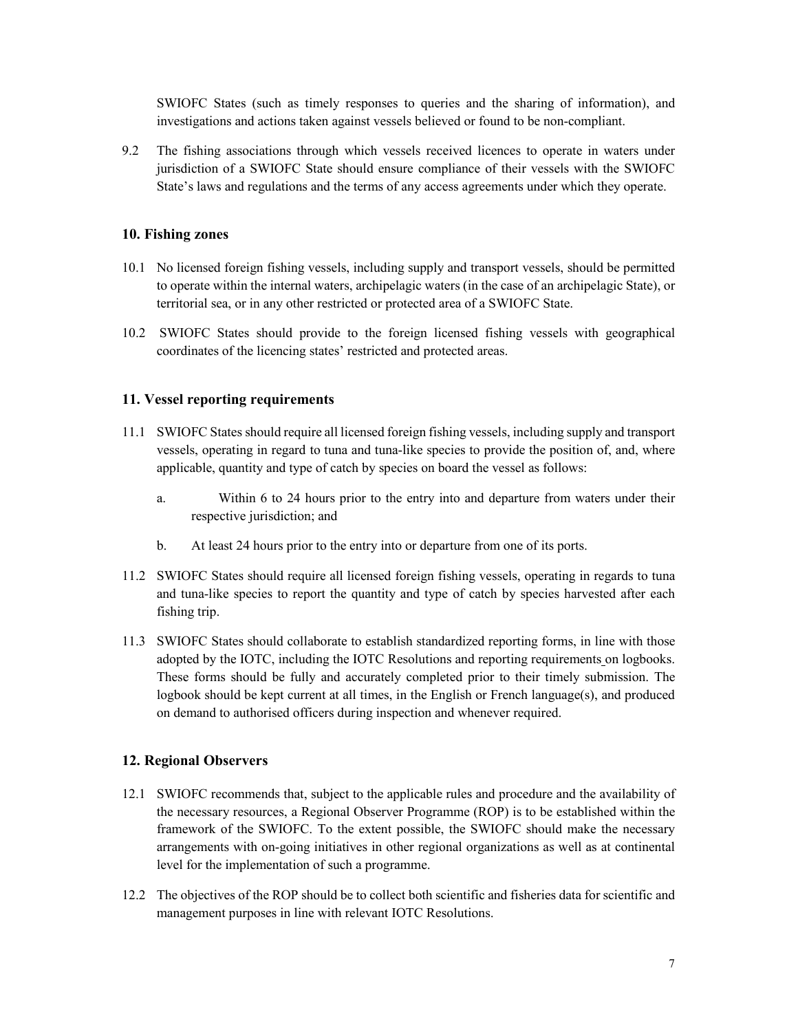SWIOFC States (such as timely responses to queries and the sharing of information), and investigations and actions taken against vessels believed or found to be non-compliant.

9.2 The fishing associations through which vessels received licences to operate in waters under jurisdiction of a SWIOFC State should ensure compliance of their vessels with the SWIOFC State's laws and regulations and the terms of any access agreements under which they operate.

#### 10. Fishing zones

- 10.1 No licensed foreign fishing vessels, including supply and transport vessels, should be permitted to operate within the internal waters, archipelagic waters (in the case of an archipelagic State), or territorial sea, or in any other restricted or protected area of a SWIOFC State.
- 10.2 SWIOFC States should provide to the foreign licensed fishing vessels with geographical coordinates of the licencing states' restricted and protected areas.

### 11. Vessel reporting requirements

- 11.1 SWIOFC States should require all licensed foreign fishing vessels, including supply and transport vessels, operating in regard to tuna and tuna-like species to provide the position of, and, where applicable, quantity and type of catch by species on board the vessel as follows:
	- Within 6 to 24 hours prior to the entry into and departure from waters under their a. respective jurisdiction; and
	- $\mathbf{b}$ . At least 24 hours prior to the entry into or departure from one of its ports.
- 11.2 SWIOFC States should require all licensed foreign fishing vessels, operating in regards to tuna and tuna-like species to report the quantity and type of catch by species harvested after each fishing trip.
- 11.3 SWIOFC States should collaborate to establish standardized reporting forms, in line with those adopted by the IOTC, including the IOTC Resolutions and reporting requirements on logbooks. These forms should be fully and accurately completed prior to their timely submission. The logbook should be kept current at all times, in the English or French language(s), and produced on demand to authorised officers during inspection and whenever required.

### **12. Regional Observers**

- 12.1 SWIOFC recommends that, subject to the applicable rules and procedure and the availability of the necessary resources, a Regional Observer Programme (ROP) is to be established within the framework of the SWIOFC. To the extent possible, the SWIOFC should make the necessary arrangements with on-going initiatives in other regional organizations as well as at continental level for the implementation of such a programme.
- 12.2 The objectives of the ROP should be to collect both scientific and fisheries data for scientific and management purposes in line with relevant IOTC Resolutions.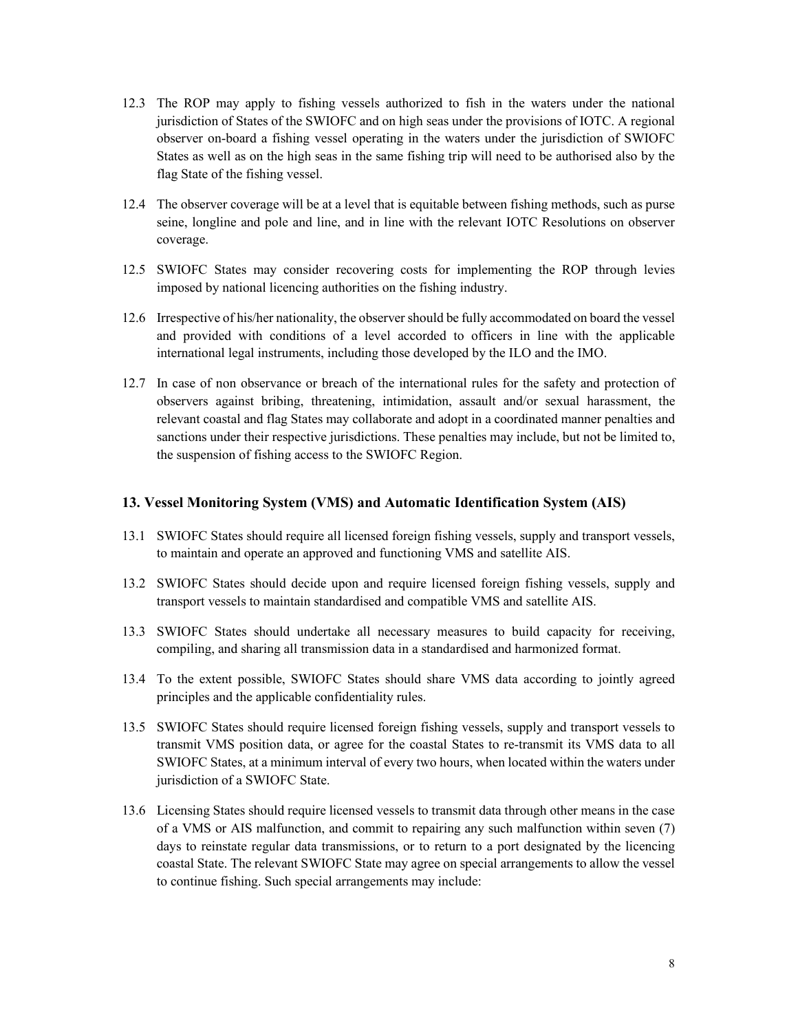- 12.3 The ROP may apply to fishing vessels authorized to fish in the waters under the national jurisdiction of States of the SWIOFC and on high seas under the provisions of IOTC. A regional observer on-board a fishing vessel operating in the waters under the jurisdiction of SWIOFC States as well as on the high seas in the same fishing trip will need to be authorised also by the flag State of the fishing vessel.
- 12.4 The observer coverage will be at a level that is equitable between fishing methods, such as purse seine, longline and pole and line, and in line with the relevant IOTC Resolutions on observer coverage.
- 12.5 SWIOFC States may consider recovering costs for implementing the ROP through levies imposed by national licencing authorities on the fishing industry.
- 12.6 Irrespective of his/her nationality, the observer should be fully accommodated on board the vessel and provided with conditions of a level accorded to officers in line with the applicable international legal instruments, including those developed by the ILO and the IMO.
- 12.7 In case of non observance or breach of the international rules for the safety and protection of observers against bribing, threatening, intimidation, assault and/or sexual harassment, the relevant coastal and flag States may collaborate and adopt in a coordinated manner penalties and sanctions under their respective jurisdictions. These penalties may include, but not be limited to, the suspension of fishing access to the SWIOFC Region.

#### 13. Vessel Monitoring System (VMS) and Automatic Identification System (AIS)

- 13.1 SWIOFC States should require all licensed foreign fishing vessels, supply and transport vessels, to maintain and operate an approved and functioning VMS and satellite AIS.
- 13.2 SWIOFC States should decide upon and require licensed foreign fishing vessels, supply and transport vessels to maintain standardised and compatible VMS and satellite AIS.
- 13.3 SWIOFC States should undertake all necessary measures to build capacity for receiving, compiling, and sharing all transmission data in a standardised and harmonized format.
- 13.4 To the extent possible, SWIOFC States should share VMS data according to jointly agreed principles and the applicable confidentiality rules.
- 13.5 SWIOFC States should require licensed foreign fishing vessels, supply and transport vessels to transmit VMS position data, or agree for the coastal States to re-transmit its VMS data to all SWIOFC States, at a minimum interval of every two hours, when located within the waters under jurisdiction of a SWIOFC State.
- 13.6 Licensing States should require licensed vessels to transmit data through other means in the case of a VMS or AIS malfunction, and commit to repairing any such malfunction within seven (7) days to reinstate regular data transmissions, or to return to a port designated by the licencing coastal State. The relevant SWIOFC State may agree on special arrangements to allow the vessel to continue fishing. Such special arrangements may include: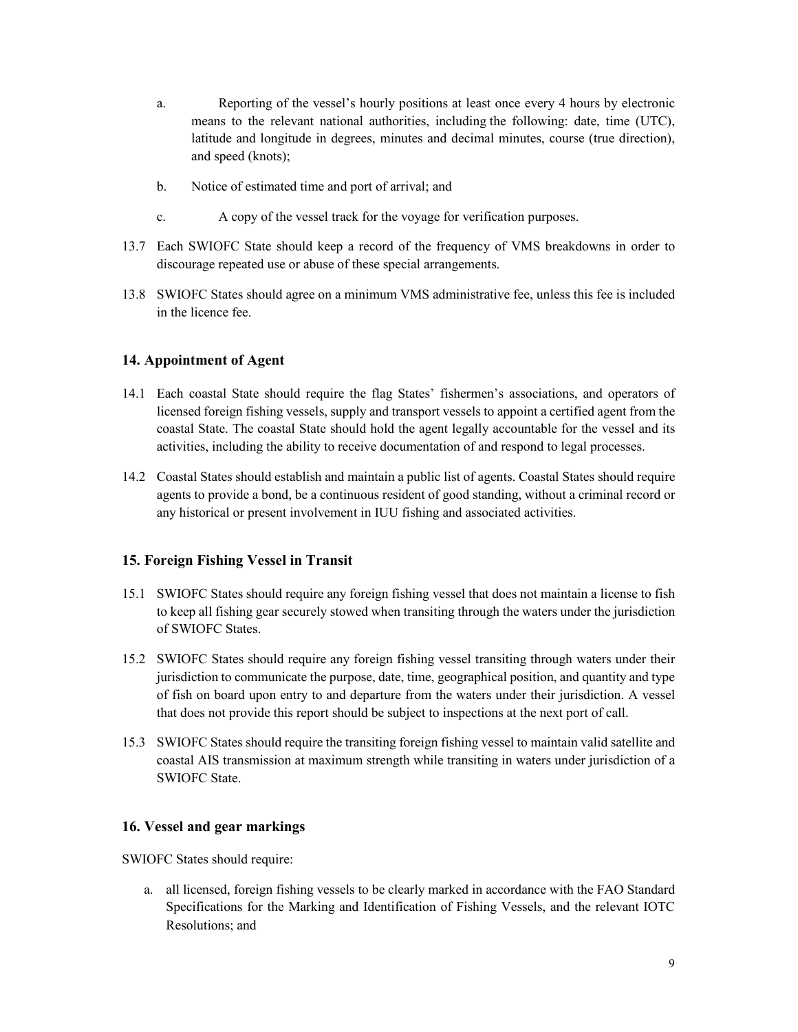- Reporting of the vessel's hourly positions at least once every 4 hours by electronic a. means to the relevant national authorities, including the following: date, time (UTC), latitude and longitude in degrees, minutes and decimal minutes, course (true direction), and speed (knots);
- $\mathbf{b}$ . Notice of estimated time and port of arrival; and
- A copy of the vessel track for the voyage for verification purposes.  $\mathbf{c}$ .
- 13.7 Each SWIOFC State should keep a record of the frequency of VMS breakdowns in order to discourage repeated use or abuse of these special arrangements.
- 13.8 SWIOFC States should agree on a minimum VMS administrative fee, unless this fee is included in the licence fee.

### 14. Appointment of Agent

- 14.1 Each coastal State should require the flag States' fishermen's associations, and operators of licensed foreign fishing vessels, supply and transport vessels to appoint a certified agent from the coastal State. The coastal State should hold the agent legally accountable for the vessel and its activities, including the ability to receive documentation of and respond to legal processes.
- 14.2 Coastal States should establish and maintain a public list of agents. Coastal States should require agents to provide a bond, be a continuous resident of good standing, without a criminal record or any historical or present involvement in IUU fishing and associated activities.

#### 15. Foreign Fishing Vessel in Transit

- 15.1 SWIOFC States should require any foreign fishing vessel that does not maintain a license to fish to keep all fishing gear securely stowed when transiting through the waters under the jurisdiction of SWIOFC States.
- 15.2 SWIOFC States should require any foreign fishing vessel transiting through waters under their jurisdiction to communicate the purpose, date, time, geographical position, and quantity and type of fish on board upon entry to and departure from the waters under their jurisdiction. A vessel that does not provide this report should be subject to inspections at the next port of call.
- 15.3 SWIOFC States should require the transiting foreign fishing vessel to maintain valid satellite and coastal AIS transmission at maximum strength while transiting in waters under jurisdiction of a **SWIOFC State**

### 16. Vessel and gear markings

SWIOFC States should require:

a. all licensed, foreign fishing vessels to be clearly marked in accordance with the FAO Standard Specifications for the Marking and Identification of Fishing Vessels, and the relevant IOTC Resolutions; and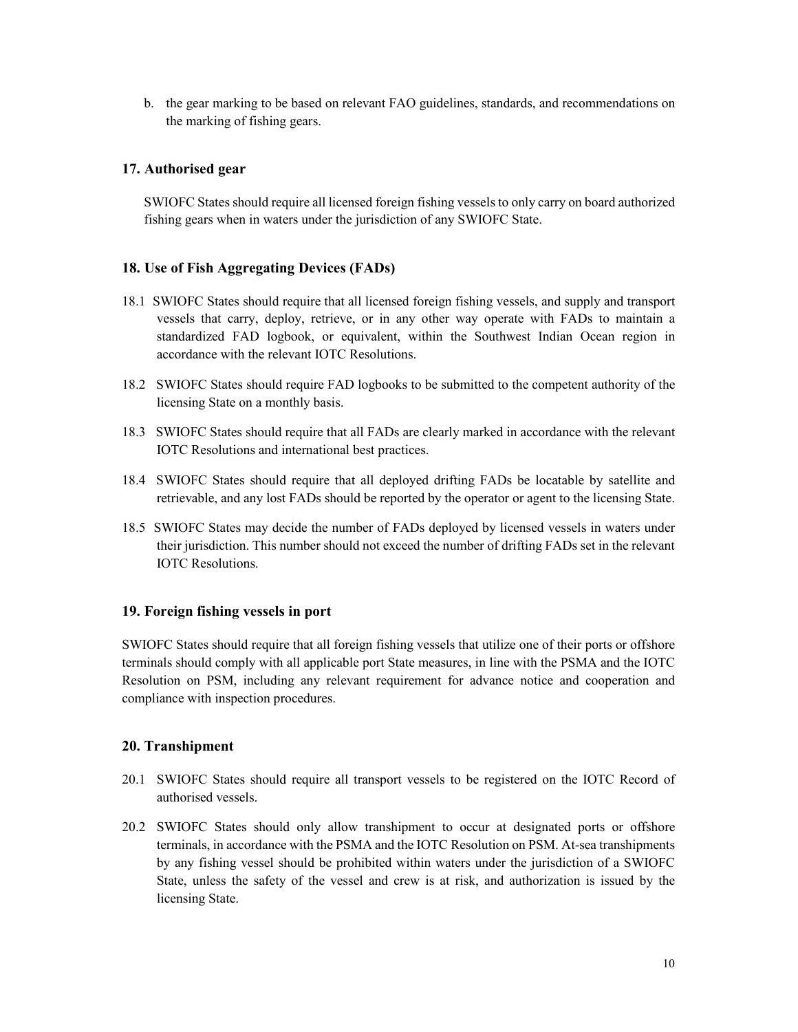b. the gear marking to be based on relevant FAO guidelines, standards, and recommendations on the marking of fishing gears.

### 17. Authorised gear

SWIOFC States should require all licensed foreign fishing vessels to only carry on board authorized fishing gears when in waters under the jurisdiction of any SWIOFC State.

### 18. Use of Fish Aggregating Devices (FADs)

- 18.1 SWIOFC States should require that all licensed foreign fishing vessels, and supply and transport vessels that carry, deploy, retrieve, or in any other way operate with FADs to maintain a standardized FAD logbook, or equivalent, within the Southwest Indian Ocean region in accordance with the relevant IOTC Resolutions.
- 18.2 SWIOFC States should require FAD logbooks to be submitted to the competent authority of the licensing State on a monthly basis.
- 18.3 SWIOFC States should require that all FADs are clearly marked in accordance with the relevant IOTC Resolutions and international best practices.
- 18.4 SWIOFC States should require that all deployed drifting FADs be locatable by satellite and retrievable, and any lost FADs should be reported by the operator or agent to the licensing State.
- 18.5 SWIOFC States may decide the number of FADs deployed by licensed vessels in waters under their jurisdiction. This number should not exceed the number of drifting FADs set in the relevant **IOTC** Resolutions.

### 19. Foreign fishing vessels in port

SWIOFC States should require that all foreign fishing vessels that utilize one of their ports or offshore terminals should comply with all applicable port State measures, in line with the PSMA and the IOTC Resolution on PSM, including any relevant requirement for advance notice and cooperation and compliance with inspection procedures.

### 20. Transhipment

- 20.1 SWIOFC States should require all transport vessels to be registered on the IOTC Record of authorised vessels.
- 20.2 SWIOFC States should only allow transhipment to occur at designated ports or offshore terminals, in accordance with the PSMA and the IOTC Resolution on PSM. At-sea transhipments by any fishing vessel should be prohibited within waters under the jurisdiction of a SWIOFC State, unless the safety of the vessel and crew is at risk, and authorization is issued by the licensing State.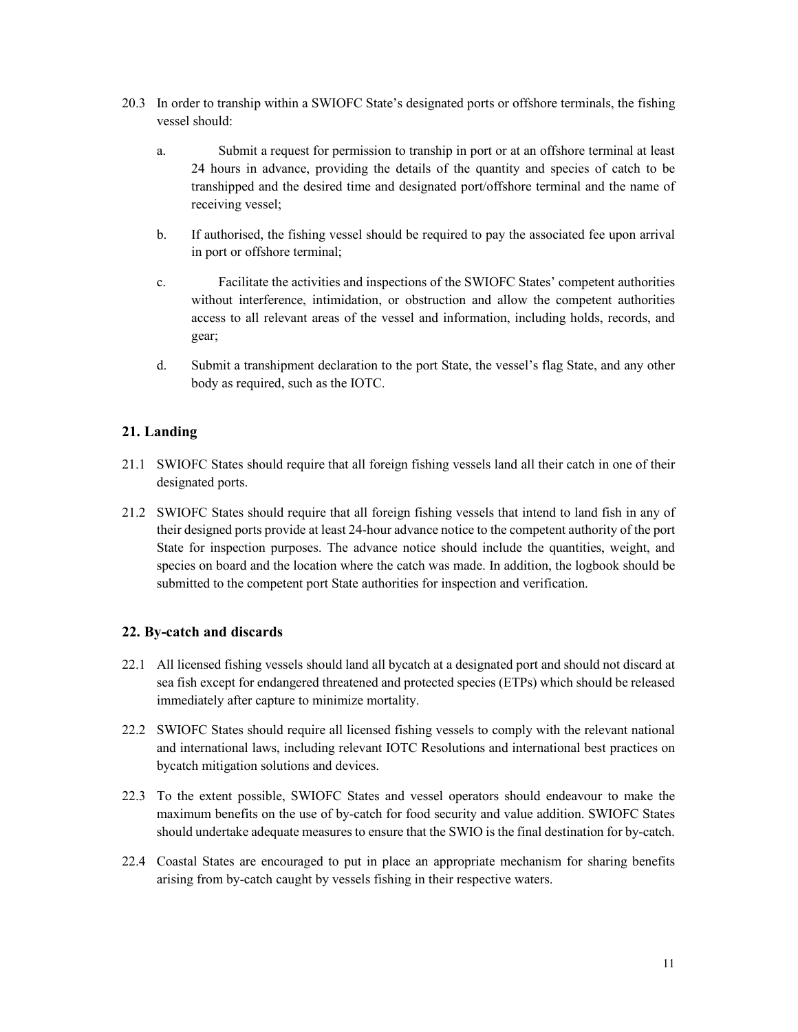- 20.3 In order to tranship within a SWIOFC State's designated ports or offshore terminals, the fishing vessel should:
	- a. bush Submit a request for permission to tranship in port or at an offshore terminal at least 24 hours in advance, providing the details of the quantity and species of catch to be transhipped and the desired time and designated port/offshore terminal and the name of receiving vessel;
	- b. If authorised, the fishing vessel should be required to pay the associated fee upon arrival in port or offshore terminal;
	- c. Facilitate the activities and inspections of the SWIOFC States' competent authorities without interference, intimidation, or obstruction and allow the competent authorities access to all relevant areas of the vessel and information, including holds, records, and gear;
	- d. Submit a transhipment declaration to the port State, the vessel's flag State, and any other body as required, such as the IOTC.

# **21.** Landing

- 21.1 SWIOFC States should require that all foreign fishing vessels land all their catch in one of their designated ports.
- 21.2 SWIOFC States should require that all foreign fishing vessels that intend to land fish in any of their designed ports provide at least 24-hour advance notice to the competent authority of the port State for inspection purposes. The advance notice should include the quantities, weight, and species on board and the location where the catch was made. In addition, the logbook should be submitted to the competent port State authorities for inspection and verification.

### **.22 yB -c ta ch a dn d si cards**

- 22.1 All licensed fishing vessels should land all bycatch at a designated port and should not discard at sea fish except for endangered threatened and protected species (ETPs) which should be released immediately after capture to minimize mortality.
- 22.2 SWIOFC States should require all licensed fishing vessels to comply with the relevant national and international laws, including relevant IOTC Resolutions and international best practices on bycatch mitigation solutions and devices.
- 22.3 To the extent possible, SWIOFC States and vessel operators should endeavour to make the maximum benefits on the use of by-catch for food security and value addition. SWIOFC States should undertake adequate measures to ensure that the SWIO is the final destination for by-catch.
- 22.4 Coastal States are encouraged to put in place an appropriate mechanism for sharing benefits arising from by-catch caught by vessels fishing in their respective waters.